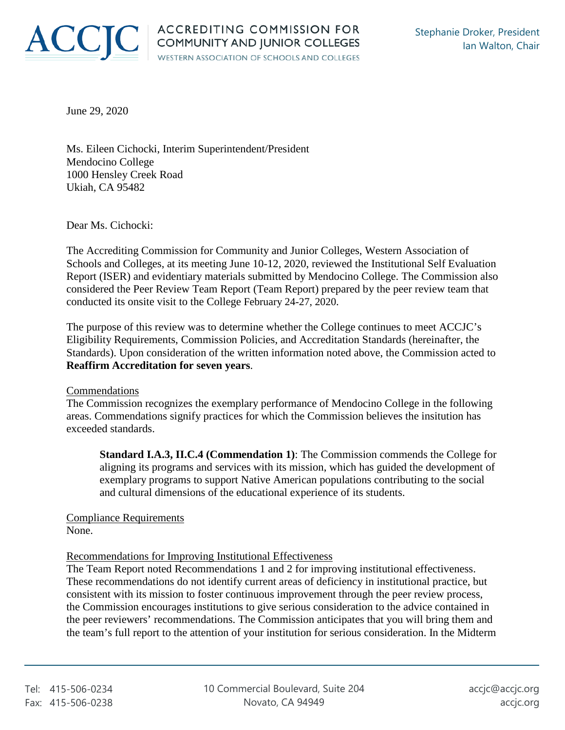

June 29, 2020

Ms. Eileen Cichocki, Interim Superintendent/President Mendocino College 1000 Hensley Creek Road Ukiah, CA 95482

Dear Ms. Cichocki:

The Accrediting Commission for Community and Junior Colleges, Western Association of Schools and Colleges, at its meeting June 10-12, 2020, reviewed the Institutional Self Evaluation Report (ISER) and evidentiary materials submitted by Mendocino College. The Commission also considered the Peer Review Team Report (Team Report) prepared by the peer review team that conducted its onsite visit to the College February 24-27, 2020.

The purpose of this review was to determine whether the College continues to meet ACCJC's Eligibility Requirements, Commission Policies, and Accreditation Standards (hereinafter, the Standards). Upon consideration of the written information noted above, the Commission acted to **Reaffirm Accreditation for seven years**.

## Commendations

The Commission recognizes the exemplary performance of Mendocino College in the following areas. Commendations signify practices for which the Commission believes the insitution has exceeded standards.

**Standard I.A.3, II.C.4 (Commendation 1)**: The Commission commends the College for aligning its programs and services with its mission, which has guided the development of exemplary programs to support Native American populations contributing to the social and cultural dimensions of the educational experience of its students.

Compliance Requirements None.

## Recommendations for Improving Institutional Effectiveness

The Team Report noted Recommendations 1 and 2 for improving institutional effectiveness. These recommendations do not identify current areas of deficiency in institutional practice, but consistent with its mission to foster continuous improvement through the peer review process, the Commission encourages institutions to give serious consideration to the advice contained in the peer reviewers' recommendations. The Commission anticipates that you will bring them and the team's full report to the attention of your institution for serious consideration. In the Midterm